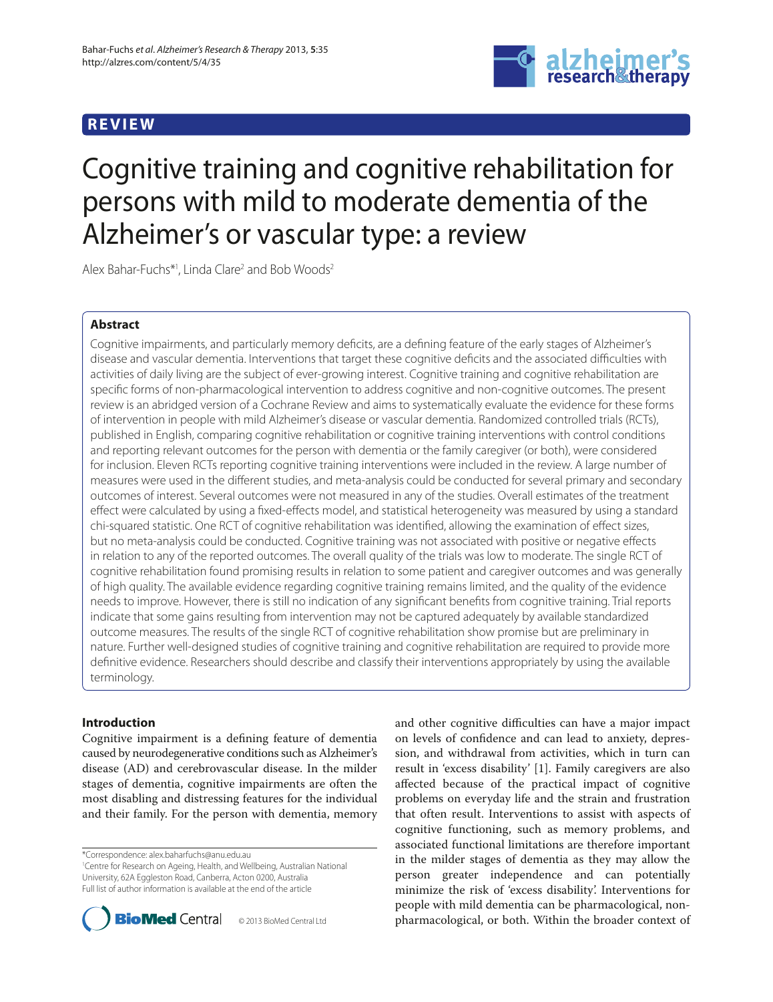# **REVIEW**



# Cognitive training and cognitive rehabilitation for persons with mild to moderate dementia of the Alzheimer's or vascular type: a review

Alex Bahar-Fuchs\*<sup>1</sup>, Linda Clare<sup>2</sup> and Bob Woods<sup>2</sup>

# **Abstract**

Cognitive impairments, and particularly memory deficits, are a defining feature of the early stages of Alzheimer's disease and vascular dementia. Interventions that target these cognitive deficits and the associated difficulties with activities of daily living are the subject of ever-growing interest. Cognitive training and cognitive rehabilitation are specific forms of non-pharmacological intervention to address cognitive and non-cognitive outcomes. The present review is an abridged version of a Cochrane Review and aims to systematically evaluate the evidence for these forms of intervention in people with mild Alzheimer's disease or vascular dementia. Randomized controlled trials (RCTs), published in English, comparing cognitive rehabilitation or cognitive training interventions with control conditions and reporting relevant outcomes for the person with dementia or the family caregiver (or both), were considered for inclusion. Eleven RCTs reporting cognitive training interventions were included in the review. A large number of measures were used in the different studies, and meta-analysis could be conducted for several primary and secondary outcomes of interest. Several outcomes were not measured in any of the studies. Overall estimates of the treatment effect were calculated by using a fixed-effects model, and statistical heterogeneity was measured by using a standard chi-squared statistic. One RCT of cognitive rehabilitation was identified, allowing the examination of effect sizes, but no meta-analysis could be conducted. Cognitive training was not associated with positive or negative effects in relation to any of the reported outcomes. The overall quality of the trials was low to moderate. The single RCT of cognitive rehabilitation found promising results in relation to some patient and caregiver outcomes and was generally of high quality. The available evidence regarding cognitive training remains limited, and the quality of the evidence needs to improve. However, there is still no indication of any significant benefits from cognitive training. Trial reports indicate that some gains resulting from intervention may not be captured adequately by available standardized outcome measures. The results of the single RCT of cognitive rehabilitation show promise but are preliminary in nature. Further well-designed studies of cognitive training and cognitive rehabilitation are required to provide more definitive evidence. Researchers should describe and classify their interventions appropriately by using the available terminology.

# **Introduction**

Cognitive impairment is a defining feature of dementia caused by neurodegenerative conditions such as Alzheimer's disease (AD) and cerebrovascular disease. In the milder stages of dementia, cognitive impairments are often the most disabling and distressing features for the individual and their family. For the person with dementia, memory

\*Correspondence: alex.baharfuchs@anu.edu.au

1 Centre for Research on Ageing, Health, and Wellbeing, Australian National University, 62A Eggleston Road, Canberra, Acton 0200, Australia Full list of author information is available at the end of the article



on levels of confidence and can lead to anxiety, depression, and withdrawal from activities, which in turn can result in 'excess disability' [1]. Family caregivers are also affected because of the practical impact of cognitive problems on everyday life and the strain and frustration that often result. Interventions to assist with aspects of cognitive functioning, such as memory problems, and associated functional limitations are therefore important in the milder stages of dementia as they may allow the person greater independence and can potentially minimize the risk of 'excess disability'. Interventions for people with mild dementia can be pharmacological, nonpharmacological, or both. Within the broader context of

and other cognitive difficulties can have a major impact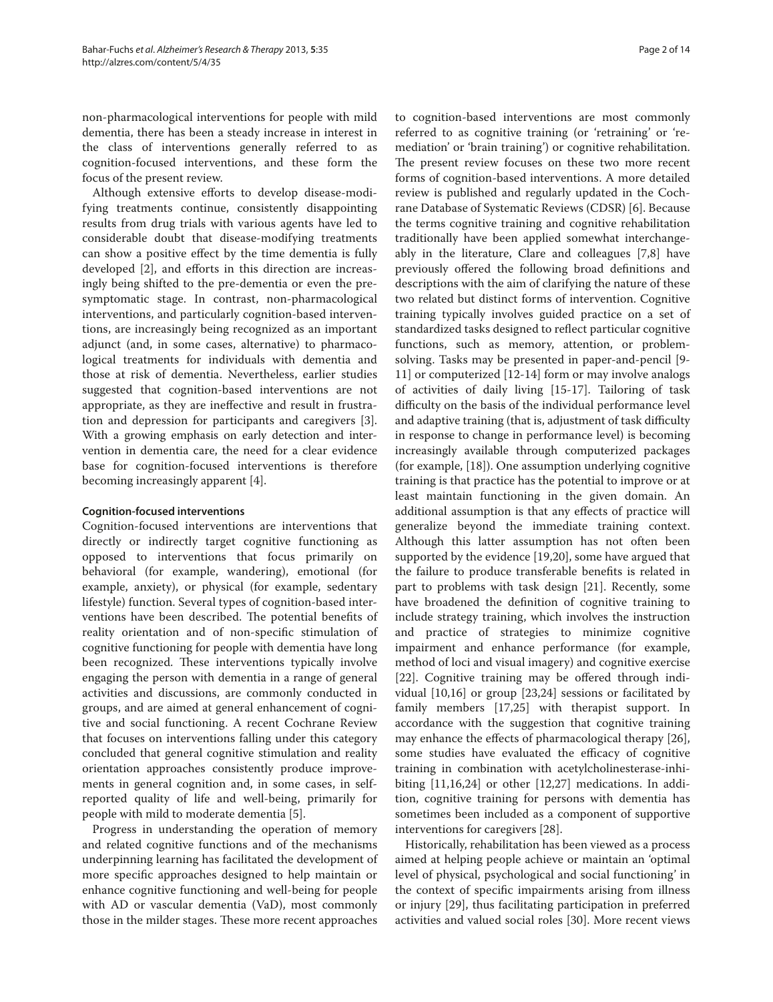non-pharmacological interventions for people with mild dementia, there has been a steady increase in interest in the class of interventions generally referred to as cognition-focused interventions, and these form the focus of the present review.

Although extensive efforts to develop disease-modifying treatments continue, consistently disappointing results from drug trials with various agents have led to considerable doubt that disease-modifying treatments can show a positive effect by the time dementia is fully developed [2], and efforts in this direction are increasingly being shifted to the pre-dementia or even the presymptomatic stage. In contrast, non-pharmacological interventions, and particularly cognition-based interventions, are increasingly being recognized as an important adjunct (and, in some cases, alternative) to pharmacological treatments for individuals with dementia and those at risk of dementia. Nevertheless, earlier studies suggested that cognition-based interventions are not appropriate, as they are ineffective and result in frustration and depression for participants and caregivers [3]. With a growing emphasis on early detection and intervention in dementia care, the need for a clear evidence base for cognition-focused interventions is therefore becoming increasingly apparent [4].

# **Cognition-focused interventions**

Cognition-focused interventions are interventions that directly or indirectly target cognitive functioning as opposed to interventions that focus primarily on behavioral (for example, wandering), emotional (for example, anxiety), or physical (for example, sedentary lifestyle) function. Several types of cognition-based interventions have been described. The potential benefits of reality orientation and of non-specific stimulation of cognitive functioning for people with dementia have long been recognized. These interventions typically involve engaging the person with dementia in a range of general activities and discussions, are commonly conducted in groups, and are aimed at general enhancement of cognitive and social functioning. A recent Cochrane Review that focuses on interventions falling under this category concluded that general cognitive stimulation and reality orientation approaches consistently produce improvements in general cognition and, in some cases, in selfreported quality of life and well-being, primarily for people with mild to moderate dementia [5].

Progress in understanding the operation of memory and related cognitive functions and of the mechanisms underpinning learning has facilitated the development of more specific approaches designed to help maintain or enhance cognitive functioning and well-being for people with AD or vascular dementia (VaD), most commonly those in the milder stages. These more recent approaches to cognition-based interventions are most commonly referred to as cognitive training (or 'retraining' or 'remediation' or 'brain training') or cognitive rehabilitation. The present review focuses on these two more recent forms of cognition-based interventions. A more detailed review is published and regularly updated in the Cochrane Database of Systematic Reviews (CDSR) [6]. Because the terms cognitive training and cognitive rehabilitation traditionally have been applied somewhat interchangeably in the literature, Clare and colleagues [7,8] have previously offered the following broad definitions and descriptions with the aim of clarifying the nature of these two related but distinct forms of intervention. Cognitive training typically in volves guided practice on a set of standardized tasks designed to reflect particular cognitive functions, such as memory, attention, or problemsolving. Tasks may be presented in paper-and-pencil [9- 11] or computerized [12-14] form or may involve analogs of activities of daily living [15-17]. Tailoring of task difficulty on the basis of the individual performance level and adaptive training (that is, adjustment of task difficulty in response to change in performance level) is becoming increasingly available through computerized packages (for example,  $[18]$ ). One assumption underlying cognitive training is that practice has the potential to improve or at least maintain functioning in the given domain. An additional assumption is that any effects of practice will generalize beyond the immediate training context. Although this latter assumption has not often been supported by the evidence [19,20], some have argued that the failure to produce transferable benefits is related in part to problems with task design [21]. Recently, some have broadened the definition of cognitive training to include strategy training, which involves the instruction and practice of strategies to minimize cognitive impairment and enhance performance (for example, method of loci and visual imagery) and cognitive exercise [22]. Cognitive training may be offered through individual [10,16] or group [23,24] sessions or facilitated by family members [17,25] with therapist support. In accordance with the suggestion that cognitive training may enhance the effects of pharmacological therapy [26], some studies have evaluated the efficacy of cognitive training in combination with acetylcholinesterase-inhibiting  $[11,16,24]$  or other  $[12,27]$  medications. In addition, cognitive training for persons with dementia has sometimes been included as a component of supportive interventions for caregivers [28].

Historically, rehabilitation has been viewed as a process aimed at helping people achieve or maintain an 'optimal level of physical, psychological and social functioning' in the context of specific impairments arising from illness or injury [29], thus facilitating participation in preferred activities and valued social roles [30]. More recent views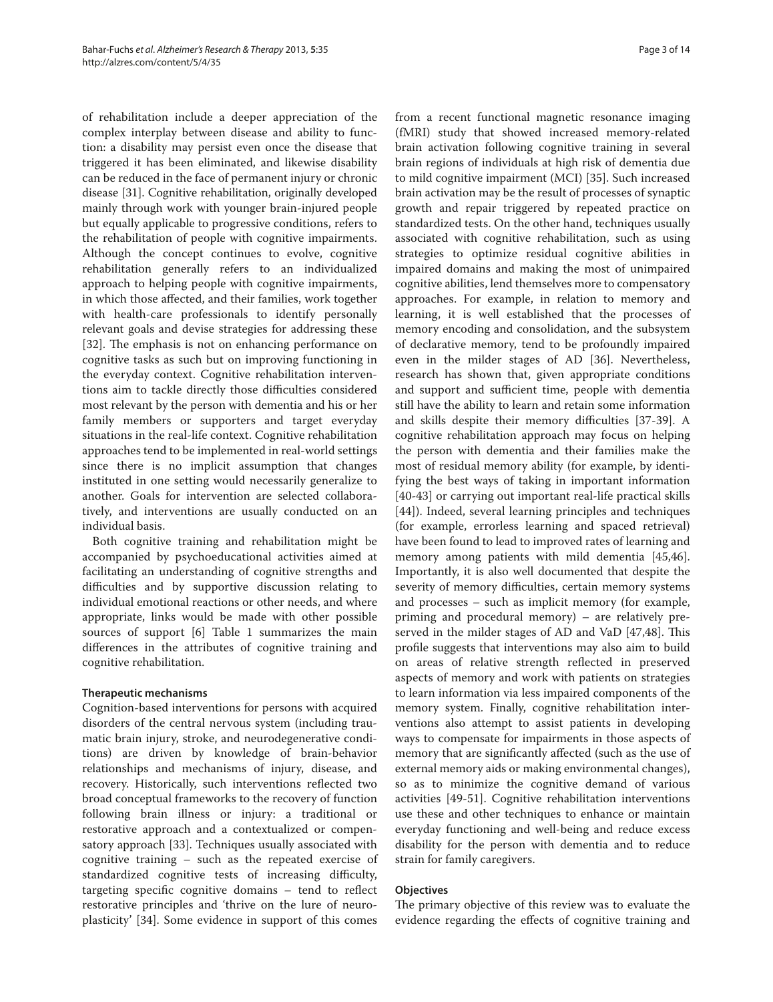of rehabilitation include a deeper appreciation of the complex interplay between disease and ability to function: a disability may persist even once the disease that triggered it has been eliminated, and likewise disability can be reduced in the face of permanent injury or chronic disease [31]. Cognitive rehabilitation, originally developed mainly through work with younger brain-injured people but equally applicable to progressive conditions, refers to the rehabilitation of people with cognitive impairments. Although the concept continues to evolve, cognitive rehabilitation generally refers to an individualized approach to helping people with cognitive impairments, in which those affected, and their families, work together with health-care professionals to identify personally relevant goals and devise strategies for addressing these [32]. The emphasis is not on enhancing performance on cognitive tasks as such but on improving functioning in the everyday context. Cognitive rehabilitation interventions aim to tackle directly those difficulties considered most relevant by the person with dementia and his or her family members or supporters and target everyday situations in the real-life context. Cognitive rehabilitation approaches tend to be implemented in real-world settings since there is no implicit assumption that changes instituted in one setting would necessarily generalize to another. Goals for intervention are selected collaboratively, and interventions are usually conducted on an individual basis.

Both cognitive training and rehabilitation might be accompanied by psychoeducational activities aimed at facilitating an understanding of cognitive strengths and difficulties and by supportive discussion relating to individual emotional reactions or other needs, and where appropriate, links would be made with other possible sources of support [6] Table 1 summarizes the main differences in the attributes of cognitive training and cognitive rehabilitation.

# **Therapeutic mechanisms**

Cognition-based interventions for persons with acquired disorders of the central nervous system (including traumatic brain injury, stroke, and neurodegenerative conditions) are driven by knowledge of brain-behavior relationships and mechanisms of injury, disease, and recovery. Historically, such interventions reflected two broad conceptual frameworks to the recovery of function following brain illness or injury: a traditional or restorative approach and a contextualized or compensatory approach [33]. Techniques usually associated with cognitive training – such as the repeated exercise of standardized cognitive tests of increasing difficulty, targeting specific cognitive domains  $-$  tend to reflect restorative principles and 'thrive on the lure of neuroplasticity' [34]. Some evidence in support of this comes from a recent functional magnetic resonance imaging (fMRI) study that showed increased memory-related brain activation following cognitive training in several brain regions of individuals at high risk of dementia due to mild cognitive impairment (MCI) [35]. Such increased brain activation may be the result of processes of synaptic growth and repair triggered by repeated practice on standardized tests. On the other hand, techniques usually associated with cognitive rehabilitation, such as using strategies to optimize residual cognitive abilities in impaired domains and making the most of unimpaired cognitive abilities, lend themselves more to compensatory approaches. For example, in relation to memory and learning, it is well established that the processes of memory encoding and consolidation, and the subsystem of declarative memory, tend to be profoundly impaired even in the milder stages of AD [36]. Nevertheless, research has shown that, given appropriate conditions and support and sufficient time, people with dementia still have the ability to learn and retain some information and skills despite their memory difficulties [37-39]. A cognitive rehabilitation approach may focus on helping the person with dementia and their families make the most of residual memory ability (for example, by identifying the best ways of taking in important information [40-43] or carrying out important real-life practical skills [44]). Indeed, several learning principles and techniques (for example, errorless learning and spaced retrieval) have been found to lead to improved rates of learning and memory among patients with mild dementia [45,46]. Importantly, it is also well documented that despite the severity of memory difficulties, certain memory systems and processes – such as implicit memory (for example, priming and procedural memory) – are relatively preserved in the milder stages of AD and VaD [47,48]. This profile suggests that interventions may also aim to build on areas of relative strength reflected in preserved aspects of memory and work with patients on strategies to learn information via less impaired components of the memory system. Finally, cognitive rehabilitation interventions also attempt to assist patients in developing ways to compensate for impairments in those aspects of memory that are significantly affected (such as the use of external memory aids or making environmental changes), so as to minimize the cognitive demand of various activities [49-51]. Cognitive rehabilitation interventions use these and other techniques to enhance or maintain everyday functioning and well-being and reduce excess disability for the person with dementia and to reduce strain for family caregivers.

#### **Objectives**

The primary objective of this review was to evaluate the evidence regarding the effects of cognitive training and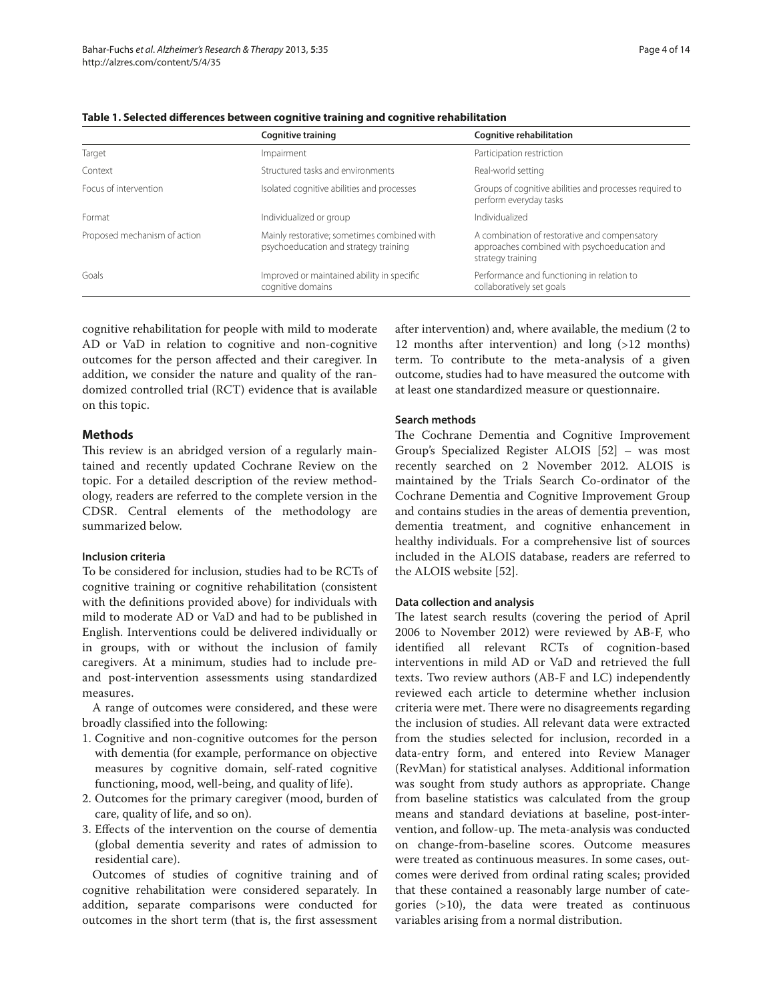|                              | <b>Cognitive training</b>                                                            | Cognitive rehabilitation                                                                                           |
|------------------------------|--------------------------------------------------------------------------------------|--------------------------------------------------------------------------------------------------------------------|
| Target                       | Impairment                                                                           | Participation restriction                                                                                          |
| Context                      | Structured tasks and environments                                                    | Real-world setting                                                                                                 |
| Focus of intervention        | Isolated cognitive abilities and processes                                           | Groups of cognitive abilities and processes required to<br>perform everyday tasks                                  |
| Format                       | Individualized or group                                                              | Individualized                                                                                                     |
| Proposed mechanism of action | Mainly restorative; sometimes combined with<br>psychoeducation and strategy training | A combination of restorative and compensatory<br>approaches combined with psychoeducation and<br>strategy training |
| Goals                        | Improved or maintained ability in specific<br>cognitive domains                      | Performance and functioning in relation to<br>collaboratively set goals                                            |

|  | Table 1. Selected differences between cognitive training and cognitive rehabilitation |  |
|--|---------------------------------------------------------------------------------------|--|
|--|---------------------------------------------------------------------------------------|--|

cognitive rehabilitation for people with mild to moderate AD or VaD in relation to cognitive and non-cognitive outcomes for the person affected and their caregiver. In addition, we consider the nature and quality of the randomized controlled trial (RCT) evidence that is available on this topic.

# **Methods**

This review is an abridged version of a regularly maintained and recently updated Cochrane Review on the topic. For a detailed description of the review methodology, readers are referred to the complete version in the CDSR. Central elements of the methodology are summarized below.

# **Inclusion criteria**

To be considered for inclusion, studies had to be RCTs of cognitive training or cognitive rehabilitation (consistent with the definitions provided above) for individuals with mild to moderate AD or VaD and had to be published in English. Interventions could be delivered individually or in groups, with or without the inclusion of family caregivers. At a minimum, studies had to include preand post-intervention assessments using standardized measures.

A range of outcomes were considered, and these were broadly classified into the following:

- 1. Cognitive and non-cognitive outcomes for the person with dementia (for example, performance on objective measures by cognitive domain, self-rated cognitive functioning, mood, well-being, and quality of life).
- 2. Outcomes for the primary caregiver (mood, burden of care, quality of life, and so on).
- 3. Effects of the intervention on the course of dementia (global dementia severity and rates of admission to residential care).

Outcomes of studies of cognitive training and of cognitive rehabilitation were considered separately. In addition, separate comparisons were conducted for outcomes in the short term (that is, the first assessment after intervention) and, where available, the medium (2 to 12 months after intervention) and long (>12 months) term. To contribute to the meta-analysis of a given outcome, studies had to have measured the outcome with at least one standardized measure or questionnaire.

# **Search methods**

The Cochrane Dementia and Cognitive Improvement Group's Specialized Register ALOIS [52] – was most recently searched on 2 November 2012. ALOIS is maintained by the Trials Search Co-ordinator of the Cochrane Dementia and Cognitive Improvement Group and contains studies in the areas of dementia prevention, dementia treatment, and cognitive enhancement in healthy individuals. For a comprehensive list of sources included in the ALOIS database, readers are referred to the ALOIS website [52].

# **Data collection and analysis**

The latest search results (covering the period of April 2006 to November 2012) were reviewed by AB-F, who identified all relevant RCTs of cognition-based interventions in mild AD or VaD and retrieved the full texts. Two review authors (AB-F and LC) independently reviewed each article to determine whether inclusion criteria were met. There were no disagreements regarding the inclusion of studies. All relevant data were extracted from the studies selected for inclusion, recorded in a data-entry form, and entered into Review Manager (RevMan) for statistical analyses. Additional information was sought from study authors as appropriate. Change from baseline statistics was calculated from the group means and standard deviations at baseline, post-intervention, and follow-up. The meta-analysis was conducted on change-from-baseline scores. Outcome measures were treated as continuous measures. In some cases, outcomes were derived from ordinal rating scales; provided that these contained a reasonably large number of categories (>10), the data were treated as continuous variables arising from a normal distribution.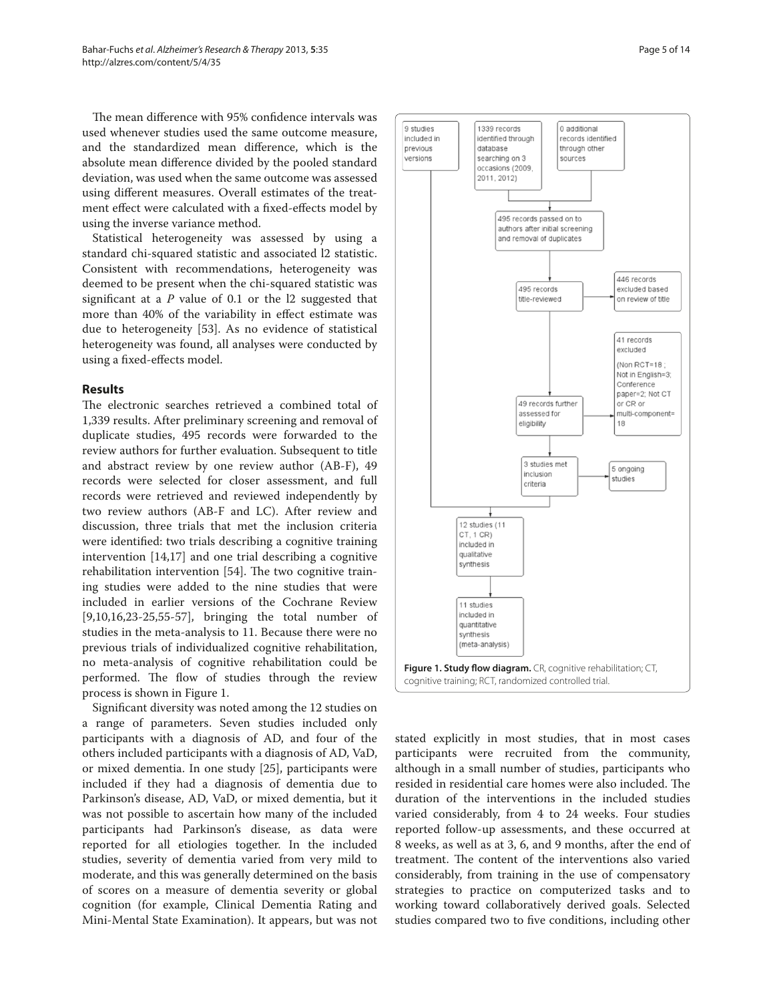The mean difference with 95% confidence intervals was used whenever studies used the same outcome measure, and the standardized mean difference, which is the absolute mean difference divided by the pooled standard deviation, was used when the same outcome was assessed using different measures. Overall estimates of the treatment effect were calculated with a fixed-effects model by using the inverse variance method.

Statistical heterogeneity was assessed by using a standard chi-squared statistic and associated l2 statistic. Consistent with recommendations, heterogeneity was deemed to be present when the chi-squared statistic was significant at a  $P$  value of 0.1 or the l2 suggested that more than 40% of the variability in effect estimate was due to heterogeneity [53]. As no evidence of statistical heterogeneity was found, all analyses were conducted by using a fixed-effects model.

# **Results**

The electronic searches retrieved a combined total of 1,339 results. After preliminary screening and removal of duplicate studies, 495 records were forwarded to the review authors for further evaluation. Subsequent to title and abstract review by one review author (AB-F), 49 records were selected for closer assessment, and full records were retrieved and reviewed independently by two review authors (AB-F and LC). After review and discussion, three trials that met the inclusion criteria were identified: two trials describing a cognitive training intervention [14,17] and one trial describing a cognitive rehabilitation intervention [54]. The two cognitive training studies were added to the nine studies that were included in earlier versions of the Cochrane Review [9,10,16,23-25,55-57], bringing the total number of studies in the meta-analysis to 11. Because there were no previous trials of individualized cognitive rehabilitation, no meta-analysis of cognitive rehabilitation could be performed. The flow of studies through the review process is shown in Figure 1.

Significant diversity was noted among the 12 studies on a range of parameters. Seven studies included only participants with a diagnosis of AD, and four of the others included participants with a diagnosis of AD, VaD, or mixed dementia. In one study [25], participants were included if they had a diagnosis of dementia due to Parkinson's disease, AD, VaD, or mixed dementia, but it was not possible to ascertain how many of the included participants had Parkinson's disease, as data were reported for all etiologies together. In the included studies, severity of dementia varied from very mild to moderate, and this was generally determined on the basis of scores on a measure of dementia severity or global cognition (for example, Clinical Dementia Rating and Mini-Mental State Examination). It appears, but was not



stated explicitly in most studies, that in most cases participants were recruited from the community, although in a small number of studies, participants who resided in residential care homes were also included. The duration of the interventions in the included studies varied considerably, from 4 to 24 weeks. Four studies reported follow-up assessments, and these occurred at 8 weeks, as well as at 3, 6, and 9 months, after the end of treatment. The content of the interventions also varied considerably, from training in the use of compensatory strategies to practice on computerized tasks and to working toward collaboratively derived goals. Selected studies compared two to five conditions, including other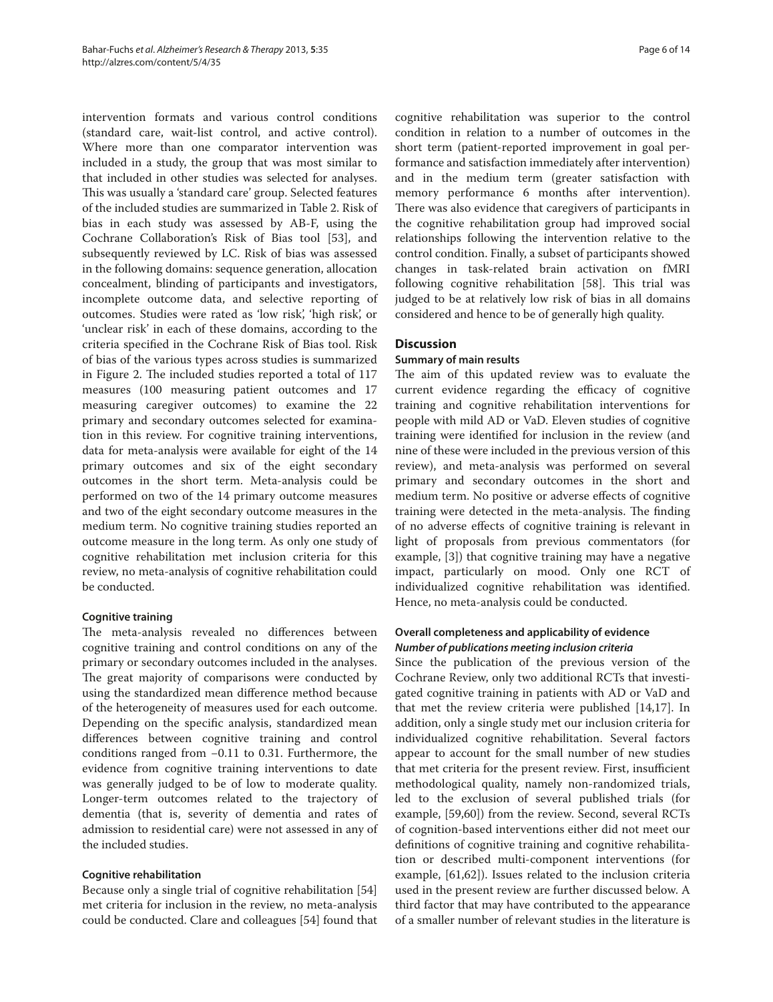intervention formats and various control conditions (standard care, wait-list control, and active control). Where more than one comparator intervention was included in a study, the group that was most similar to that included in other studies was selected for analyses. This was usually a 'standard care' group. Selected features of the included studies are summarized in Table 2. Risk of bias in each study was assessed by AB-F, using the Cochrane Collaboration's Risk of Bias tool [53], and subsequently reviewed by LC. Risk of bias was assessed in the following domains: sequence generation, allocation concealment, blinding of participants and investigators, incomplete outcome data, and selective reporting of outcomes. Studies were rated as 'low risk', 'high risk', or 'unclear risk' in each of these domains, according to the criteria specified in the Cochrane Risk of Bias tool. Risk of bias of the various types across studies is summarized in Figure 2. The included studies reported a total of 117 measures (100 measuring patient outcomes and 17 measuring caregiver outcomes) to examine the 22 primary and secondary outcomes selected for examination in this review. For cognitive training interventions, data for meta-analysis were available for eight of the 14 primary outcomes and six of the eight secondary outcomes in the short term. Meta-analysis could be performed on two of the 14 primary outcome measures and two of the eight secondary outcome measures in the medium term. No cognitive training studies reported an outcome measure in the long term. As only one study of cognitive rehabilitation met inclusion criteria for this review, no meta-analysis of cognitive rehabilitation could be conducted.

# **Cognitive training**

The meta-analysis revealed no differences between cognitive training and control conditions on any of the primary or secondary outcomes included in the analyses. The great majority of comparisons were conducted by using the standardized mean difference method because of the heterogeneity of measures used for each outcome. Depending on the specific analysis, standardized mean differences between cognitive training and control conditions ranged from −0.11 to 0.31. Furthermore, the evidence from cognitive training interventions to date was generally judged to be of low to moderate quality. Longer-term outcomes related to the trajectory of dementia (that is, severity of dementia and rates of admission to residential care) were not assessed in any of the included studies.

# **Cognitive rehabilitation**

Because only a single trial of cognitive rehabilitation [54] met criteria for inclusion in the review, no meta-analysis could be conducted. Clare and colleagues [54] found that cognitive rehabilitation was superior to the control condition in relation to a number of outcomes in the short term (patient-reported improvement in goal performance and satisfaction immediately after intervention) and in the medium term (greater satisfaction with memory performance 6 months after intervention). There was also evidence that caregivers of participants in the cognitive rehabilitation group had improved social relationships following the intervention relative to the control condition. Finally, a subset of participants showed changes in task-related brain activation on fMRI following cognitive rehabilitation [58]. This trial was judged to be at relatively low risk of bias in all domains considered and hence to be of generally high quality.

# **Discussion**

# **Summary of main results**

The aim of this updated review was to evaluate the current evidence regarding the efficacy of cognitive training and cognitive rehabilitation interventions for people with mild AD or VaD. Eleven studies of cognitive training were identified for inclusion in the review (and nine of these were included in the previous version of this review), and meta-analysis was performed on several primary and secondary outcomes in the short and medium term. No positive or adverse effects of cognitive training were detected in the meta-analysis. The finding of no adverse effects of cognitive training is relevant in light of proposals from previous commentators (for example, [3]) that cognitive training may have a negative impact, particularly on mood. Only one RCT of individualized cognitive rehabilitation was identified. Hence, no meta-analysis could be conducted.

# **Overall completeness and applicability of evidence** *Number of publications meeting inclusion criteria*

Since the publication of the previous version of the Cochrane Review, only two additional RCTs that investigated cognitive training in patients with AD or VaD and that met the review criteria were published [14,17]. In addition, only a single study met our inclusion criteria for individualized cognitive rehabilitation. Several factors appear to account for the small number of new studies that met criteria for the present review. First, insufficient methodological quality, namely non-randomized trials, led to the exclusion of several published trials (for example, [59,60]) from the review. Second, several RCTs of cognition-based interventions either did not meet our definitions of cognitive training and cognitive rehabilitation or described multi-component interventions (for example, [61,62]). Issues related to the inclusion criteria used in the present review are further discussed below. A third factor that may have contributed to the appearance of a smaller number of relevant studies in the literature is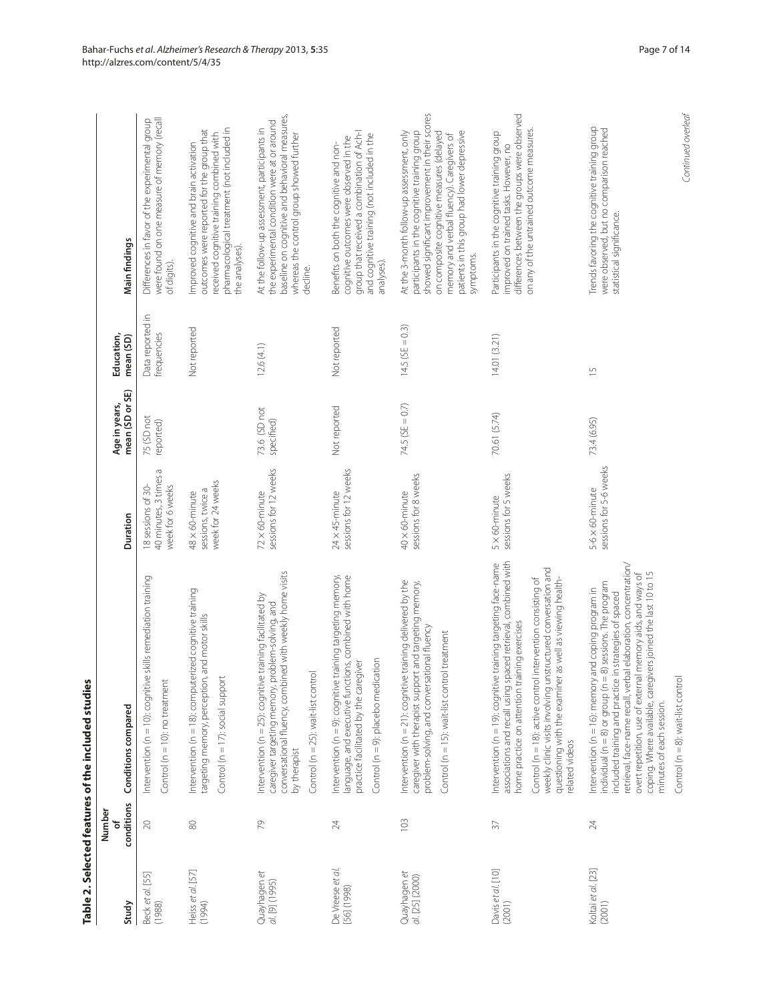| Study                           | conditions<br>Number | Conditions compared                                                                                                                                                                                                                                                                                                                                                                                                   | Duration                                                         | mean (SD or SE)<br>Age in years, | Education,<br>mean (SD)         | Main findings                                                                                                                                                                                                                                                                                    |
|---------------------------------|----------------------|-----------------------------------------------------------------------------------------------------------------------------------------------------------------------------------------------------------------------------------------------------------------------------------------------------------------------------------------------------------------------------------------------------------------------|------------------------------------------------------------------|----------------------------------|---------------------------------|--------------------------------------------------------------------------------------------------------------------------------------------------------------------------------------------------------------------------------------------------------------------------------------------------|
| Beck et al. [55]<br>(1988)      | 20                   | Intervention (n = 10): cognitive skills remediation training<br>Control ( $n = 10$ ): no treatment                                                                                                                                                                                                                                                                                                                    | 40 minutes, 3 times a<br>18 sessions of 30-<br>week for 6 weeks  | 75 (SD not<br>reported)          | Data reported in<br>frequencies | were found on one measure of memory (recall<br>Differences in favor of the experimental group<br>of digits).                                                                                                                                                                                     |
| Heiss et al. [57]<br>(1994)     | $\otimes$            | Intervention (n = 18): computerized cognitive training<br>and motor skills<br>targeting memory, perception,<br>Control ( $n = 17$ ): social support                                                                                                                                                                                                                                                                   | week for 24 weeks<br>sessions, twice a<br>$48 \times 60$ -minute |                                  | Not reported                    | pharmacological treatment (not included in<br>outcomes were reported for the group that<br>received cognitive training combined with<br>Improved cognitive and brain activation<br>the analyses).                                                                                                |
| Quayhagen et<br>al. [9] (1995)  | 29                   | conversational fluency, combined with weekly home visits<br>Intervention ( $n = 25$ ): cognitive training facilitated by<br>caregiver targeting memory, problem-solving, and<br>Control (n = 25): wait-list contro<br>by therapist                                                                                                                                                                                    | sessions for 12 weeks<br>$72 \times 60$ -minute                  | 73.6 (SD not<br>specified)       | 12.6(4.1)                       | baseline on cognitive and behavioral measures,<br>the experimental condition were at or around<br>At the follow-up assessment, participants in<br>whereas the control group showed further<br>decline.                                                                                           |
| De Vreese et al.<br>[56] (1998) | $24\,$               | Intervention (n = 9): cognitive training targeting memory,<br>language, and executive functions, combined with home<br>Control (n = 9): placebo medication<br>practice facilitated by the caregiver                                                                                                                                                                                                                   | sessions for 12 weeks<br>$24 \times 45$ -minute                  | Not reported                     | Not reported                    | group that received a combination of Ach-I<br>and cognitive training (not included in the<br>cognitive outcomes were observed in the<br>Benefits on both the cognitive and non-<br>analyses).                                                                                                    |
| Quayhagen et<br>al. [25] (2000) | 103                  | Intervention (n = 21): cognitive training delivered by the<br>caregiver with therapist support and targeting memory,<br>problem-solving, and conversational fluency<br>Control (n = 15): wait-list control treatment                                                                                                                                                                                                  | sessions for 8 weeks<br>$40 \times 60$ -minute                   | 74.5 (SE = 0.7)                  | $14.5(SE = 0.3)$                | showed significant improvement in their scores<br>participants in the cognitive training group<br>patients in this group had lower depressive<br>At the 3-month follow-up assessment, only<br>on composite cognitive measures (delayed<br>memory and verbal fluency). Caregivers of<br>symptoms. |
| Davis et al. [10]<br>(2001)     | $\sqrt{2}$           | associations and recall using spaced retrieval, combined with<br>Intervention (n = 19): cognitive training targeting face-name<br>weekly clinic visits involving unstructured conversation and<br>Control (n = 18): active control intervention consisting of<br>as well as viewing health-<br>home practice on attention training exercises<br>questioning with the examiner<br>elated videos                        | sessions for 5 weeks<br>$5 \times 60$ -minute                    | 70.61 (5.74)                     | 14.01 (3.21)                    | differences between the groups were observed<br>on any of the untrained outcome measures.<br>Participants in the cognitive training group<br>improved on trained tasks. However, no                                                                                                              |
| Koltai et al. [23]<br>(2001)    | $\geq$               | retrieval, face-name recall, verbal elaboration, concentration/<br>ers joined the last 10 to 15<br>overt repetition, use of external memory aids, and ways of<br>8) sessions. The program<br>Intervention (n = 16): memory and coping program in<br>included training and practice in strategies of spaced<br>coping. Where available, caregiv<br>individual ( $n = 8$ ) or group ( $n =$<br>minutes of each session. | sessions for 5-6 weeks<br>$5-6 \times 60$ -minute                | 73.4 (6.95)                      | $\frac{5}{1}$                   | Trends favoring the cognitive training group<br>were observed, but no comparison reached<br>statistical significance.                                                                                                                                                                            |

Table 2. Selected features of the included studies **Table 2. Selected features of the included studies**

Continued overleaf

Continued overleaf

Control (n = 8): wait-list control

Control (n = 8): wait-list control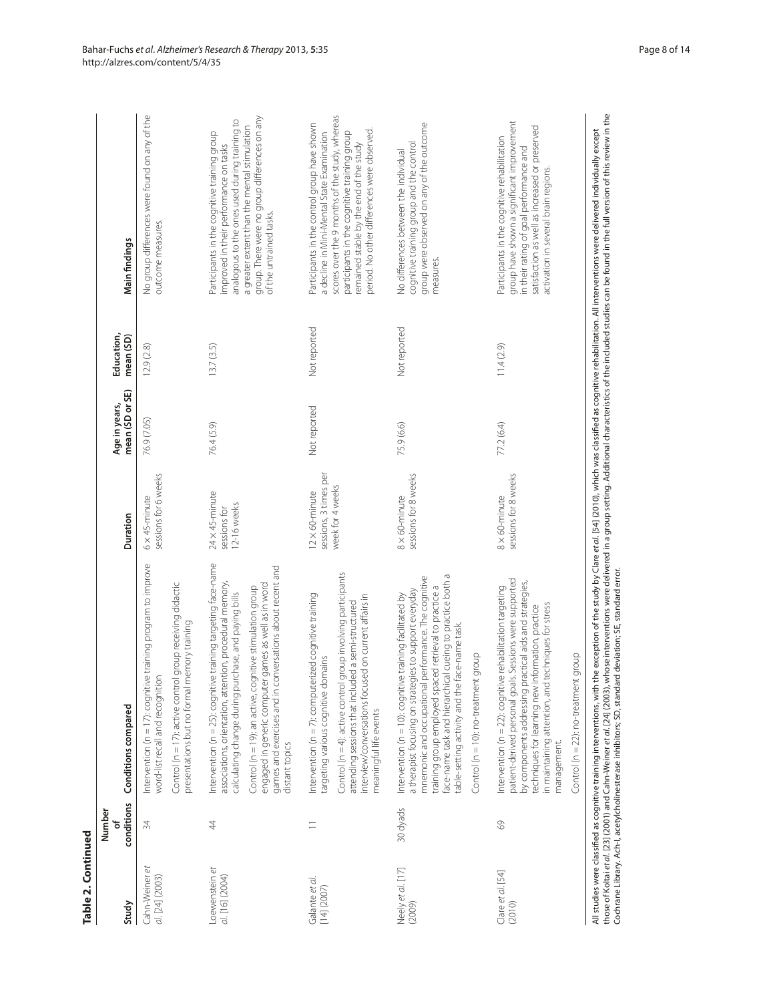| r |
|---|
|   |
|   |
|   |
|   |
|   |
|   |
|   |
|   |

| Study                                      | conditions<br>Number | Conditions compared                                                                                                                                                                                                                                                                                                                                                                                                                                                                                                                                                      | Duration                                                            | mean (SD or SE)<br>Age in years, | Education,<br>mean (SD) | Main findings                                                                                                                                                                                                                                                                          |
|--------------------------------------------|----------------------|--------------------------------------------------------------------------------------------------------------------------------------------------------------------------------------------------------------------------------------------------------------------------------------------------------------------------------------------------------------------------------------------------------------------------------------------------------------------------------------------------------------------------------------------------------------------------|---------------------------------------------------------------------|----------------------------------|-------------------------|----------------------------------------------------------------------------------------------------------------------------------------------------------------------------------------------------------------------------------------------------------------------------------------|
| đ<br>Cahn-Weiner<br><i>al.</i> [24] (2003) | 34                   | Intervention ( $n = 17$ ); cognitive training program to improve<br>group receiving didactic<br>presentations but no formal memory training<br>word-list recall and recognition<br>Control (n = 17): active control                                                                                                                                                                                                                                                                                                                                                      | sessions for 6 weeks<br>$6 \times 45$ -minute                       | 76.9 (7.05)                      | 12.9(2.8)               | No group differences were found on any of the<br>outcome measures.                                                                                                                                                                                                                     |
| Loewenstein et<br>al. [16] (2004)          | $\ddot{4}$           | Intervention (n = 25): cognitive training targeting face-name<br>games and exercises and in conversations about recent and<br>associations, orientation, attention, procedural memory,<br>engaged in generic computer games as well as in word<br>Control (n = 19): an active, cognitive stimulation group<br>calculating change during purchase, and paying bills<br>distant topics                                                                                                                                                                                     | $24 \times 45$ -minute<br>12-16 weeks<br>sessions for               | 76.4 (5.9)                       | 13.7(3.5)               | group. There were no group differences on any<br>analogous to the ones used during training to<br>a greater extent than the mental stimulation<br>Participants in the cognitive training group<br>improved in their performance on tasks<br>of the untrained tasks.                    |
| Galante et al.<br>[14] (2007)              | $\equiv$             | Control (n = 4): active control group involving participants<br>Intervention (n = 7): computerized cognitive training<br>interview/conversations focused on current affairs in<br>attending sessions that included a semi-structured<br>argeting various cognitive domains<br>meaningful life events                                                                                                                                                                                                                                                                     | sessions, 3 times per<br>week for 4 weeks<br>$12 \times 60$ -minute | Not reported                     | Not reported            | scores over the 9 months of the study, whereas<br>Participants in the control group have shown<br>period. No other differences were observed.<br>a decline in Mini-Mental State Examination<br>participants in the cognitive training group<br>remained stable by the end of the study |
| Neely et al. [17]<br>(2009)                | 30 dyads             | face-name task and hierarchical cueing to practice both a<br>mnemonic and occupational performance. The cognitive<br>training group employed spaced retrieval to practice a<br>a therapist focusing on strategies to support everyday<br>Intervention (n = 10): cognitive training facilitated by<br>able-setting activity and the face-name task.<br>group<br>Control (n = 10): no-treatment                                                                                                                                                                            | sessions for 8 weeks<br>$8 \times 60$ -minute                       | 75.9 (6.6)                       | Not reported            | group were observed on any of the outcome<br>cognitive training group and the control<br>No differences between the individual<br>measures.                                                                                                                                            |
| Clare et al. [54]<br>(2010)                | 69                   | patient-derived personal goals. Sessions were supported<br>by components addressing practical aids and strategies,<br>Intervention (n = 22): cognitive rehabilitation targeting<br>in maintaining attention, and techniques for stress<br>techniques for learning new information, practice<br>qroup<br>Control ( $n = 22$ ): no-treatment<br>management.                                                                                                                                                                                                                | sessions for 8 weeks<br>$8 \times 60$ -minute                       | 77.2 (6.4)                       | 11.4(2.9)               | group have shown a significant improvement<br>satisfaction as well as increased or preserved<br>Participants in the cognitive rehabilitation<br>in their rating of goal performance and<br>activation in several brain regions.                                                        |
|                                            |                      | those of Koltai et al. [23] (2001) and Cahn-Weiner et al. [24] (2003), whose interventions were delivered in a group setting. Additional characteristics of the included studies can be found in the full version of this revi<br>All studies were classified as cognitive training interventions, with the exception of the study by Clare et al. [54] (2010), which was classified as cognitive rehabilitation. All interventions were delivered individually<br>Cochrane Library. Ach-I, acetylcholinesterase inhibitors; SD, standard deviation; SE, standard error. |                                                                     |                                  |                         |                                                                                                                                                                                                                                                                                        |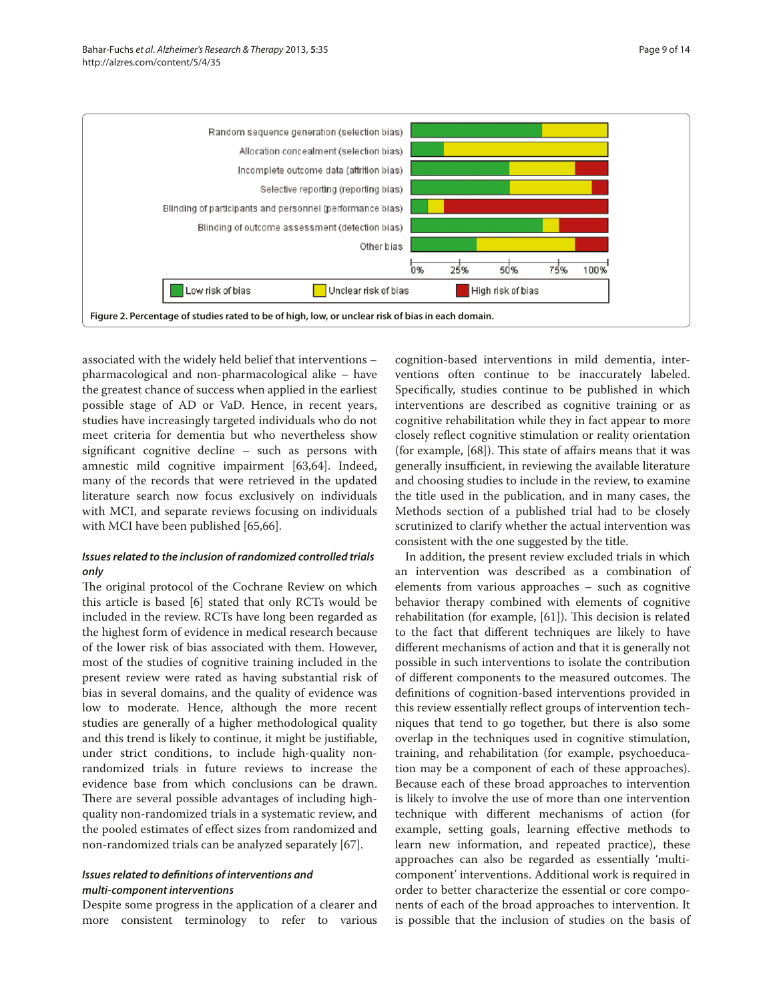

associated with the widely held belief that interventions – pharmacological and non-pharmacological alike – have the greatest chance of success when applied in the earliest possible stage of AD or VaD. Hence, in recent years, studies have increasingly targeted individuals who do not meet criteria for dementia but who nevertheless show significant cognitive decline  $-$  such as persons with amnestic mild cognitive impairment [63,64]. Indeed, many of the records that were retrieved in the updated literature search now focus exclusively on individuals with MCI, and separate reviews focusing on individuals with MCI have been published [65,66].

# *Issues related to the inclusion of randomized controlled trials only*

The original protocol of the Cochrane Review on which this article is based [6] stated that only RCTs would be included in the review. RCTs have long been regarded as the highest form of evidence in medical research because of the lower risk of bias associated with them. However, most of the studies of cognitive training included in the present review were rated as having substantial risk of bias in several domains, and the quality of evidence was low to moderate. Hence, although the more recent studies are generally of a higher methodological quality and this trend is likely to continue, it might be justifiable, under strict conditions, to include high-quality nonrandomized trials in future reviews to increase the evidence base from which conclusions can be drawn. There are several possible advantages of including highquality non-randomized trials in a systematic review, and the pooled estimates of effect sizes from randomized and non-randomized trials can be analyzed separately [67].

# *Issues related to definitions of interventions and multi-component interventions*

Despite some progress in the application of a clearer and more consistent terminology to refer to various

cognition-based interventions in mild dementia, interventions often continue to be inaccurately labeled. Specifically, studies continue to be published in which interventions are described as cognitive training or as cognitive rehabilitation while they in fact appear to more closely reflect cognitive stimulation or reality orientation (for example,  $[68]$ ). This state of affairs means that it was generally insufficient, in reviewing the available literature and choosing studies to include in the review, to examine the title used in the publication, and in many cases, the Methods section of a published trial had to be closely scrutinized to clarify whether the actual intervention was consistent with the one suggested by the title.

In addition, the present review excluded trials in which an intervention was described as a combination of elements from various approaches – such as cognitive behavior therapy combined with elements of cognitive rehabilitation (for example, [61]). This decision is related to the fact that different techniques are likely to have different mechanisms of action and that it is generally not possible in such interventions to isolate the contribution of different components to the measured outcomes. The definitions of cognition-based interventions provided in this review essentially reflect groups of intervention techniques that tend to go together, but there is also some overlap in the techniques used in cognitive stimulation, training, and rehabilitation (for example, psychoeducation may be a component of each of these approaches). Because each of these broad approaches to intervention is likely to involve the use of more than one intervention technique with different mechanisms of action (for example, setting goals, learning effective methods to learn new information, and repeated practice), these approaches can also be regarded as essentially 'multicomponent' interventions. Additional work is required in order to better characterize the essential or core components of each of the broad approaches to intervention. It is possible that the inclusion of studies on the basis of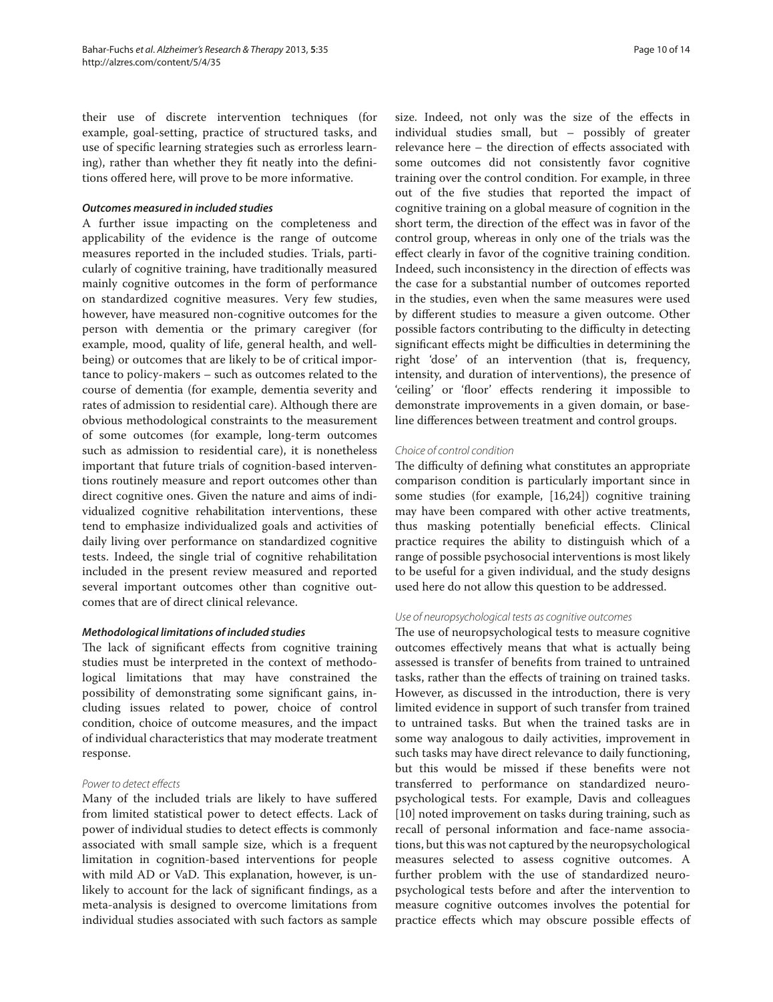their use of discrete intervention techniques (for example, goal-setting, practice of structured tasks, and use of specific learning strategies such as errorless learning), rather than whether they fit neatly into the definitions offered here, will prove to be more informative.

# *Outcomes measured in included studies*

A further issue impacting on the completeness and applicability of the evidence is the range of outcome measures reported in the included studies. Trials, particularly of cognitive training, have traditionally measured mainly cognitive outcomes in the form of performance on standardized cognitive measures. Very few studies, however, have measured non-cognitive outcomes for the person with dementia or the primary caregiver (for example, mood, quality of life, general health, and wellbeing) or outcomes that are likely to be of critical importance to policy-makers – such as outcomes related to the course of dementia (for example, dementia severity and rates of admission to residential care). Although there are obvious methodological constraints to the measurement of some outcomes (for example, long-term outcomes such as admission to residential care), it is nonetheless important that future trials of cognition-based interventions routinely measure and report outcomes other than direct cognitive ones. Given the nature and aims of individualized cognitive rehabilitation interventions, these tend to emphasize individualized goals and activities of daily living over performance on standardized cognitive tests. Indeed, the single trial of cognitive rehabilitation included in the present review measured and reported several important outcomes other than cognitive outcomes that are of direct clinical relevance.

# *Methodological limitations of included studies*

The lack of significant effects from cognitive training studies must be interpreted in the context of methodological limitations that may have constrained the possibility of demonstrating some significant gains, including issues related to power, choice of control condition, choice of outcome measures, and the impact of individual characteristics that may moderate treatment response.

#### Power to detect effects

Many of the included trials are likely to have suffered from limited statistical power to detect effects. Lack of power of individual studies to detect effects is commonly associated with small sample size, which is a frequent limitation in cognition-based interventions for people with mild AD or VaD. This explanation, however, is unlikely to account for the lack of significant findings, as a meta-analysis is designed to overcome limitations from individual studies associated with such factors as sample size. Indeed, not only was the size of the effects in individual studies small, but – possibly of greater relevance here - the direction of effects associated with some outcomes did not consistently favor cognitive training over the control condition. For example, in three out of the five studies that reported the impact of cognitive training on a global measure of cognition in the short term, the direction of the effect was in favor of the control group, whereas in only one of the trials was the effect clearly in favor of the cognitive training condition. Indeed, such inconsistency in the direction of effects was the case for a substantial number of outcomes reported in the studies, even when the same measures were used by different studies to measure a given outcome. Other possible factors contributing to the difficulty in detecting significant effects might be difficulties in determining the right 'dose' of an intervention (that is, frequency, intensity, and duration of interventions), the presence of 'ceiling' or 'floor' effects rendering it impossible to demonstrate improvements in a given domain, or baseline differences between treatment and control groups.

# Choice of control condition

The difficulty of defining what constitutes an appropriate comparison condition is particularly important since in some studies (for example, [16,24]) cognitive training may have been compared with other active treatments, thus masking potentially beneficial effects. Clinical practice requires the ability to distinguish which of a range of possible psychosocial interventions is most likely to be useful for a given individual, and the study designs used here do not allow this question to be addressed.

#### Use of neuropsychological tests as cognitive outcomes

The use of neuropsychological tests to measure cognitive outcomes effectively means that what is actually being assessed is transfer of benefits from trained to untrained tasks, rather than the effects of training on trained tasks. However, as discussed in the introduction, there is very limited evidence in support of such transfer from trained to untrained tasks. But when the trained tasks are in some way analogous to daily activities, improvement in such tasks may have direct relevance to daily functioning, but this would be missed if these benefits were not transferred to performance on standardized neuropsychological tests. For example, Davis and colleagues [10] noted improvement on tasks during training, such as recall of personal information and face-name associations, but this was not captured by the neuropsychological measures selected to assess cognitive outcomes. A further problem with the use of standardized neuropsychological tests before and after the intervention to measure cognitive outcomes involves the potential for practice effects which may obscure possible effects of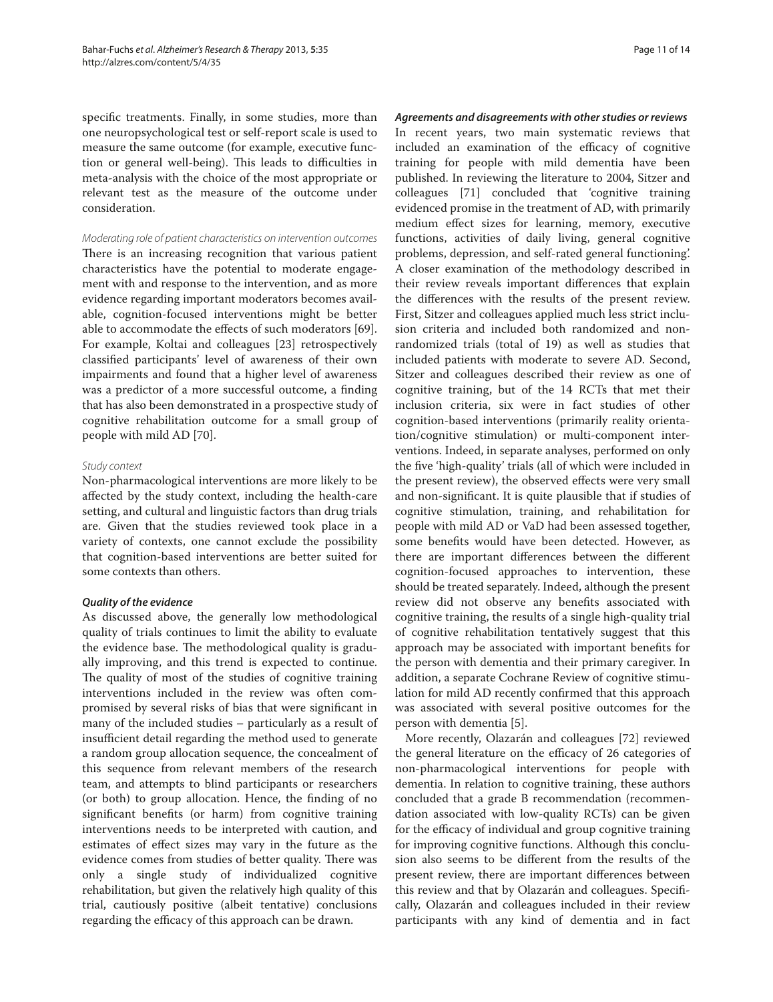specific treatments. Finally, in some studies, more than one neuropsychological test or self-report scale is used to measure the same outcome (for example, executive function or general well-being). This leads to difficulties in meta-analysis with the choice of the most appropriate or relevant test as the measure of the outcome under consideration.

Moderating role of patient characteristics on intervention outcomes There is an increasing recognition that various patient characteristics have the potential to moderate engagement with and response to the intervention, and as more evidence regarding important moderators becomes available, cognition-focused interventions might be better able to accommodate the effects of such moderators [69]. For example, Koltai and colleagues [23] retrospectively classified participants' level of awareness of their own impairments and found that a higher level of awareness was a predictor of a more successful outcome, a finding that has also been demonstrated in a prospective study of cognitive rehabilitation outcome for a small group of people with mild AD [70].

# Study context

Non-pharmacological interventions are more likely to be affected by the study context, including the health-care setting, and cultural and linguistic factors than drug trials are. Given that the studies reviewed took place in a variety of contexts, one cannot exclude the possibility that cognition-based interventions are better suited for some contexts than others.

# *Quality of the evidence*

As discussed above, the generally low methodological quality of trials continues to limit the ability to evaluate the evidence base. The methodological quality is gradually improving, and this trend is expected to continue. The quality of most of the studies of cognitive training interventions included in the review was often compromised by several risks of bias that were significant in many of the included studies – particularly as a result of insufficient detail regarding the method used to generate a random group allocation sequence, the concealment of this sequence from relevant members of the research team, and attempts to blind participants or researchers (or both) to group allocation. Hence, the finding of no significant benefits (or harm) from cognitive training interventions needs to be interpreted with caution, and estimates of effect sizes may vary in the future as the evidence comes from studies of better quality. There was only a single study of individualized cognitive rehabilitation, but given the relatively high quality of this trial, cautiously positive (albeit tentative) conclusions regarding the efficacy of this approach can be drawn.

#### *Agreements and disagreements with other studies or reviews*

In recent years, two main systematic reviews that included an examination of the efficacy of cognitive training for people with mild dementia have been published. In reviewing the literature to 2004, Sitzer and colleagues [71] concluded that 'cognitive training evidenced promise in the treatment of AD, with primarily medium effect sizes for learning, memory, executive functions, activities of daily living, general cognitive problems, depression, and self-rated general functioning'. A closer examination of the methodology described in their review reveals important differences that explain the differences with the results of the present review. First, Sitzer and colleagues applied much less strict inclusion criteria and included both randomized and nonrandomized trials (total of 19) as well as studies that included patients with moderate to severe AD. Second, Sitzer and colleagues described their review as one of cognitive training, but of the 14 RCTs that met their inclusion criteria, six were in fact studies of other cognition-based interventions (primarily reality orientation/cognitive stimulation) or multi-component interventions. Indeed, in separate analyses, performed on only the five 'high-quality' trials (all of which were included in the present review), the observed effects were very small and non-significant. It is quite plausible that if studies of cognitive stimulation, training, and rehabilitation for people with mild AD or VaD had been assessed together, some benefits would have been detected. However, as there are important differences between the different cognition-focused approaches to intervention, these should be treated separately. Indeed, although the present review did not observe any benefits associated with cognitive training, the results of a single high-quality trial of cognitive rehabilitation tentatively suggest that this approach may be associated with important benefits for the person with dementia and their primary caregiver. In addition, a separate Cochrane Review of cognitive stimulation for mild AD recently confirmed that this approach was associated with several positive outcomes for the person with dementia [5].

More recently, Olazarán and colleagues [72] reviewed the general literature on the efficacy of 26 categories of non-pharmacological interventions for people with dementia. In relation to cognitive training, these authors concluded that a grade B recommendation (recommendation associated with low-quality RCTs) can be given for the efficacy of individual and group cognitive training for improving cognitive functions. Although this conclusion also seems to be different from the results of the present review, there are important differences between this review and that by Olazarán and colleagues. Specifi cally, Olazarán and colleagues included in their review participants with any kind of dementia and in fact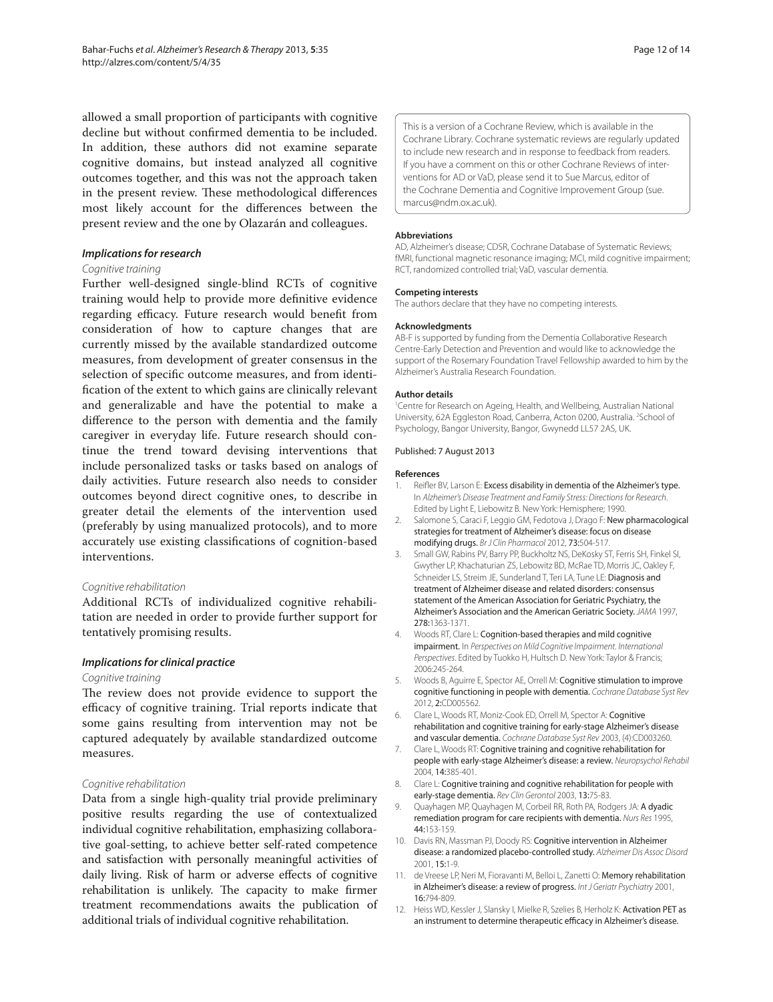allowed a small proportion of participants with cognitive decline but without confirmed dementia to be included. In addition, these authors did not examine separate cognitive domains, but instead analyzed all cognitive outcomes together, and this was not the approach taken in the present review. These methodological differences most likely account for the differences between the present review and the one by Olazarán and colleagues.

# *Implications for research*

# Cognitive training

Further well-designed single-blind RCTs of cognitive training would help to provide more definitive evidence regarding efficacy. Future research would benefit from consideration of how to capture changes that are currently missed by the available standardized outcome measures, from development of greater consensus in the selection of specific outcome measures, and from identification of the extent to which gains are clinically relevant and generalizable and have the potential to make a difference to the person with dementia and the family caregiver in everyday life. Future research should continue the trend toward devising interventions that include personalized tasks or tasks based on analogs of daily activities. Future research also needs to consider outcomes beyond direct cognitive ones, to describe in greater detail the elements of the intervention used (preferably by using manualized protocols), and to more accurately use existing classifications of cognition-based interventions.

# Cognitive rehabilitation

Additional RCTs of individualized cognitive rehabilitation are needed in order to provide further support for tentatively promising results.

# *Implications for clinical practice*

#### Cognitive training

The review does not provide evidence to support the efficacy of cognitive training. Trial reports indicate that some gains resulting from intervention may not be captured adequately by available standardized outcome measures.

#### Cognitive rehabilitation

Data from a single high-quality trial provide preliminary positive results regarding the use of contextualized individual cognitive rehabilitation, emphasizing collaborative goal-setting, to achieve better self-rated competence and satisfaction with personally meaningful activities of daily living. Risk of harm or adverse effects of cognitive rehabilitation is unlikely. The capacity to make firmer treatment recommendations awaits the publication of additional trials of individual cognitive rehabilitation.

This is a version of a Cochrane Review, which is available in the Cochrane Library. Cochrane systematic reviews are regularly updated to include new research and in response to feedback from readers. If you have a comment on this or other Cochrane Reviews of interventions for AD or VaD, please send it to Sue Marcus, editor of the Cochrane Dementia and Cognitive Improvement Group (sue. marcus@ndm.ox.ac.uk).

#### **Abbreviations**

AD, Alzheimer's disease; CDSR, Cochrane Database of Systematic Reviews; fMRI, functional magnetic resonance imaging; MCI, mild cognitive impairment; RCT, randomized controlled trial; VaD, vascular dementia.

#### **Competing interests**

The authors declare that they have no competing interests.

#### **Acknowledgments**

AB-F is supported by funding from the Dementia Collaborative Research Centre-Early Detection and Prevention and would like to acknowledge the support of the Rosemary Foundation Travel Fellowship awarded to him by the Alzheimer's Australia Research Foundation.

#### **Author details**

1 Centre for Research on Ageing, Health, and Wellbeing, Australian National University, 62A Eggleston Road, Canberra, Acton 0200, Australia. <sup>2</sup>School of Psychology, Bangor University, Bangor, Gwynedd LL57 2AS, UK.

#### Published: 7 August 2013

#### **References**

- 1. Reifler BV, Larson E: Excess disability in dementia of the Alzheimer's type. In Alzheimer's Disease Treatment and Family Stress: Directions for Research. Edited by Light E, Liebowitz B. New York: Hemisphere; 1990.
- 2. Salomone S, Caraci F, Leggio GM, Fedotova J, Drago F: New pharmacological strategies for treatment of Alzheimer's disease: focus on disease modifying drugs. Br J Clin Pharmacol 2012, 73:504-517.
- 3. Small GW, Rabins PV, Barry PP, Buckholtz NS, DeKosky ST, Ferris SH, Finkel SI, Gwyther LP, Khachaturian ZS, Lebowitz BD, McRae TD, Morris JC, Oakley F, Schneider LS, Streim JE, Sunderland T, Teri LA, Tune LE: Diagnosis and treatment of Alzheimer disease and related disorders: consensus statement of the American Association for Geriatric Psychiatry, the Alzheimer's Association and the American Geriatric Society. JAMA 1997, 278:1363-1371.
- 4. Woods RT, Clare L: Cognition-based therapies and mild cognitive impairment. In Perspectives on Mild Cognitive Impairment. International Perspectives. Edited by Tuokko H, Hultsch D. New York: Taylor & Francis; 2006:245-264.
- Woods B, Aguirre E, Spector AE, Orrell M: Cognitive stimulation to improve cognitive functioning in people with dementia. Cochrane Database Syst Rev 2012, 2:CD005562.
- 6. Clare L, Woods RT, Moniz-Cook ED, Orrell M, Spector A: Cognitive rehabilitation and cognitive training for early-stage Alzheimer's disease and vascular dementia. Cochrane Database Syst Rev 2003, (4):CD003260.
- 7. Clare L, Woods RT: Cognitive training and cognitive rehabilitation for people with early-stage Alzheimer's disease: a review. Neuropsychol Rehabil 2004, 14:385-401.
- 8. Clare L: Cognitive training and cognitive rehabilitation for people with early-stage dementia. Rev Clin Gerontol 2003, 13:75-83.
- 9. Quayhagen MP, Quayhagen M, Corbeil RR, Roth PA, Rodgers JA: A dyadic remediation program for care recipients with dementia. Nurs Res 1995, 44:153-159.
- 10. Davis RN, Massman PJ, Doody RS: Cognitive intervention in Alzheimer disease: a randomized placebo-controlled study. Alzheimer Dis Assoc Disord 2001, 15:1-9.
- 11. de Vreese LP, Neri M, Fioravanti M, Belloi L, Zanetti O: Memory rehabilitation in Alzheimer's disease: a review of progress. Int J Geriatr Psychiatry 2001, 16:794-809.
- 12. Heiss WD, Kessler J, Slansky I, Mielke R, Szelies B, Herholz K: Activation PET as an instrument to determine therapeutic efficacy in Alzheimer's disease.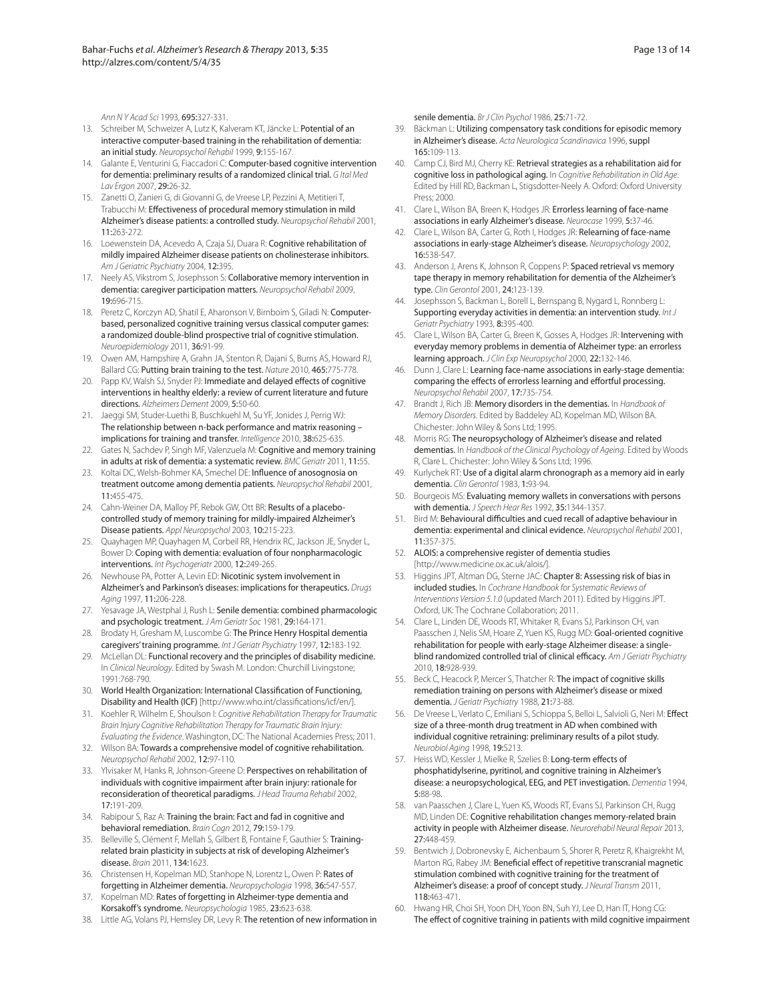Ann N Y Acad Sci 1993, 695:327-331.

- 13. Schreiber M, Schweizer A, Lutz K, Kalveram KT, Jäncke L: Potential of an interactive computer-based training in the rehabilitation of dementia: an initial study. Neuropsychol Rehabil 1999, 9:155-167.
- 14. Galante E, Venturini G, Fiaccadori C: Computer-based cognitive intervention for dementia: preliminary results of a randomized clinical trial. G Ital Med Lav Ergon 2007, 29:26-32.
- 15. Zanetti O, Zanieri G, di Giovanni G, de Vreese LP, Pezzini A, Metitieri T, Trabucchi M: Effectiveness of procedural memory stimulation in mild Alzheimer's disease patients: a controlled study. Neuropsychol Rehabil 2001, 11:263-272.
- 16. Loewenstein DA, Acevedo A, Czaja SJ, Duara R: Cognitive rehabilitation of mildly impaired Alzheimer disease patients on cholinesterase inhibitors. Am J Geriatric Psychiatry 2004, 12:395
- 17. Neely AS, Vikstrom S, Josephsson S: Collaborative memory intervention in dementia: caregiver participation matters. Neuropsychol Rehabil 2009, 19:696-715.
- 18. Peretz C, Korczyn AD, Shatil E, Aharonson V, Birnboim S, Giladi N: Computerbased, personalized cognitive training versus classical computer games: a randomized double-blind prospective trial of cognitive stimulation. Neuroepidemiology 2011, 36:91-99.
- 19. Owen AM, Hampshire A, Grahn JA, Stenton R, Dajani S, Burns AS, Howard RJ, Ballard CG: Putting brain training to the test. Nature 2010, 465:775-778.
- 20. Papp KV, Walsh SJ, Snyder PJ: Immediate and delayed effects of cognitive interventions in healthy elderly: a review of current literature and future directions. Alzheimers Dement 2009, 5:50-60.
- 21. Jaeggi SM, Studer-Luethi B, Buschkuehl M, Su YF, Jonides J, Perrig WJ: The relationship between n-back performance and matrix reasoning – implications for training and transfer. Intelligence 2010, 38:625-635.
- 22. Gates N, Sachdev P, Singh MF, Valenzuela M: Cognitive and memory training in adults at risk of dementia: a systematic review. BMC Geriatr 2011, 11:55.
- 23. Koltai DC, Welsh-Bohmer KA, Smechel DE: Influence of anosognosia on treatment outcome among dementia patients. Neuropsychol Rehabil 2001, 11:455-475.
- 24. Cahn-Weiner DA, Malloy PF, Rebok GW, Ott BR: Results of a placebocontrolled study of memory training for mildly-impaired Alzheimer's Disease patients. Appl Neuropsychol 2003, 10:215-223.
- 25. Quayhagen MP, Quayhagen M, Corbeil RR, Hendrix RC, Jackson JE, Snyder L, Bower D: Coping with dementia: evaluation of four nonpharmacologic interventions. Int Psychogeriatr 2000, 12:249-265.
- 26. Newhouse PA, Potter A, Levin ED: Nicotinic system involvement in Alzheimer's and Parkinson's diseases: implications for therapeutics. Drugs Aging 1997, 11:206-228.
- 27. Yesavage JA, Westphal J, Rush L: Senile dementia: combined pharmacologic and psychologic treatment. JAm Geriatr Soc 1981, 29:164-171.
- 28. Brodaty H, Gresham M, Luscombe G: The Prince Henry Hospital dementia caregivers' training programme. Int J Geriatr Psychiatry 1997, 12:183-192.
- 29. McLellan DL: Functional recovery and the principles of disability medicine. In Clinical Neurology. Edited by Swash M. London: Churchill Livingstone; 1991:768-790.
- 30. World Health Organization: International Classification of Functioning, Disability and Health (ICF) [http://www.who.int/classifications/icf/en/].
- 31. Koehler R, Wilhelm E, Shoulson I: Cognitive Rehabilitation Therapy for Traumatic Brain Injury Cognitive Rehabilitation Therapy for Traumatic Brain Injury: Evaluating the Evidence. Washington, DC: The National Academies Press; 2011.
- 32. Wilson BA: Towards a comprehensive model of cognitive rehabilitation. Neuropsychol Rehabil 2002, 12:97-110.
- 33. Ylvisaker M, Hanks R, Johnson-Greene D: Perspectives on rehabilitation of individuals with cognitive impairment after brain injury: rationale for reconsideration of theoretical paradigms. J Head Trauma Rehabil 2002, 17:191-209.
- 34. Rabipour S, Raz A: Training the brain: Fact and fad in cognitive and behavioral remediation. Brain Cogn 2012, 79:159-179.
- 35. Belleville S, Clément F, Mellah S, Gilbert B, Fontaine F, Gauthier S: Trainingrelated brain plasticity in subjects at risk of developing Alzheimer's disease. Brain 2011, 134:1623.
- 36. Christensen H, Kopelman MD, Stanhope N, Lorentz L, Owen P: Rates of forgetting in Alzheimer dementia. Neuropsychologia 1998, 36:547-557.
- 37. Kopelman MD: Rates of forgetting in Alzheimer-type dementia and Korsakoff's syndrome. Neuropsychologia 1985, 23:623-638.
- 38. Little AG, Volans PJ, Hemsley DR, Levy R: The retention of new information in

senile dementia. Br J Clin Psychol 1986, 25:71-72.

- 39. Bäckman L: Utilizing compensatory task conditions for episodic memory in Alzheimer's disease. Acta Neurologica Scandinavica 1996, suppl 165:109-113.
- 40. Camp CJ, Bird MJ, Cherry KE: Retrieval strategies as a rehabilitation aid for cognitive loss in pathological aging. In Cognitive Rehabilitation in Old Age. Edited by Hill RD, Backman L, Stigsdotter-Neely A. Oxford: Oxford University Press; 2000.
- 41. Clare L, Wilson BA, Breen K, Hodges JR: Errorless learning of face-name associations in early Alzheimer's disease. Neurocase 1999, 5:37-46.
- 42. Clare L, Wilson BA, Carter G, Roth I, Hodges JR: Relearning of face-name associations in early-stage Alzheimer's disease. Neuropsychology 2002, 16:538-547.
- 43. Anderson J, Arens K, Johnson R, Coppens P: Spaced retrieval vs memory tape therapy in memory rehabilitation for dementia of the Alzheimer's type. Clin Gerontol 2001, 24:123-139.
- 44. Jose phsson S, Backman L, Borell L, Bernspang B, Nygard L, Ronnberg L: Supporting everyday activities in dementia: an intervention study. Int J Geriatr Psychiatry 1993, 8:395-400.
- 45. Clare L, Wilson BA, Carter G, Breen K, Gosses A, Hodges JR: Intervening with everyday memory problems in dementia of Alzheimer type: an errorless learning approach. J Clin Exp Neuropsychol 2000, 22:132-146.
- 46. Dunn J, Clare L: Learning face-name associations in early-stage dementia: comparing the effects of errorless learning and effortful processing. Neuropsychol Rehabil 2007, 17:735-754.
- 47. Brandt J, Rich JB: Memory disorders in the dementias. In Handbook of Memory Disorders. Edited by Baddeley AD, Kopelman MD, Wilson BA. Chichester: John Wiley & Sons Ltd; 1995.
- 48. Morris RG: The neuropsychology of Alzheimer's disease and related dementias. In Handbook of the Clinical Psychology of Ageing. Edited by Woods R, Clare L. Chichester: John Wiley & Sons Ltd; 1996.
- 49. Kurlychek RT: Use of a digital alarm chronograph as a memory aid in early dementia. Clin Gerontol 1983, 1:93-94.
- 50. Bourgeois MS: Evaluating memory wallets in conversations with persons with dementia. J Speech Hear Res 1992, 35:1344-1357.
- 51. Bird M: Behavioural difficulties and cued recall of adaptive behaviour in dementia: experimental and clinical evidence. Neuropsychol Rehabil 2001, 11:357-375.
- 52. ALOIS: a comprehensive register of dementia studies [http://www.medicine.ox.ac.uk/alois/].
- 53. Higgins JPT, Altman DG, Sterne JAC: Chapter 8: Assessing risk of bias in included studies. In Cochrane Handbook for Systematic Reviews of Interventions Version 5.1.0 (updated March 2011). Edited by Higgins JPT. Oxford, UK: The Cochrane Collaboration; 2011.
- 54. Clare L, Linden DE, Woods RT, Whitaker R, Evans SJ, Parkinson CH, van Paasschen J, Nelis SM, Hoare Z, Yuen KS, Rugg MD: Goal-oriented cognitive rehabilitation for people with early-stage Alzheimer disease: a singleblind randomized controlled trial of clinical efficacy. Am J Geriatr Psychiatry 2010, 18:928-939.
- 55. Beck C, Heacock P, Mercer S, Thatcher R: The impact of cognitive skills remediation training on persons with Alzheimer's disease or mixed dementia. J Geriatr Psychiatry 1988, 21:73-88.
- 56. De Vreese L, Verlato C, Emiliani S, Schioppa S, Belloi L, Salvioli G, Neri M: Effect size of a three-month drug treatment in AD when combined with individual cognitive retraining: preliminary results of a pilot study. Neurobiol Aging 1998, 19:S213.
- 57. Heiss WD, Kessler J, Mielke R, Szelies B: Long-term effects of phosphatidylserine, pyritinol, and cognitive training in Alzheimer's disease: a neuropsychological, EEG, and PET investigation. Dementia 1994, 5:88-98.
- 58. van Paasschen J, Clare L, Yuen KS, Woods RT, Evans SJ, Parkinson CH, Rugg MD, Linden DE: Cognitive rehabilitation changes memory-related brain activity in people with Alzheimer disease. Neurorehabil Neural Repair 2013, 27:448-459.
- 59. Bentwich J, Dobronevsky E, Aichenbaum S, Shorer R, Peretz R, Khaigrekht M, Marton RG, Rabey JM: Beneficial effect of repetitive transcranial magnetic stimulation combined with cognitive training for the treatment of Alzheimer's disease: a proof of concept study. J Neural Transm 2011, 118:463-471.
- 60. Hwang HR, Choi SH, Yoon DH, Yoon BN, Suh YJ, Lee D, Han IT, Hong CG: The effect of cognitive training in patients with mild cognitive impairment